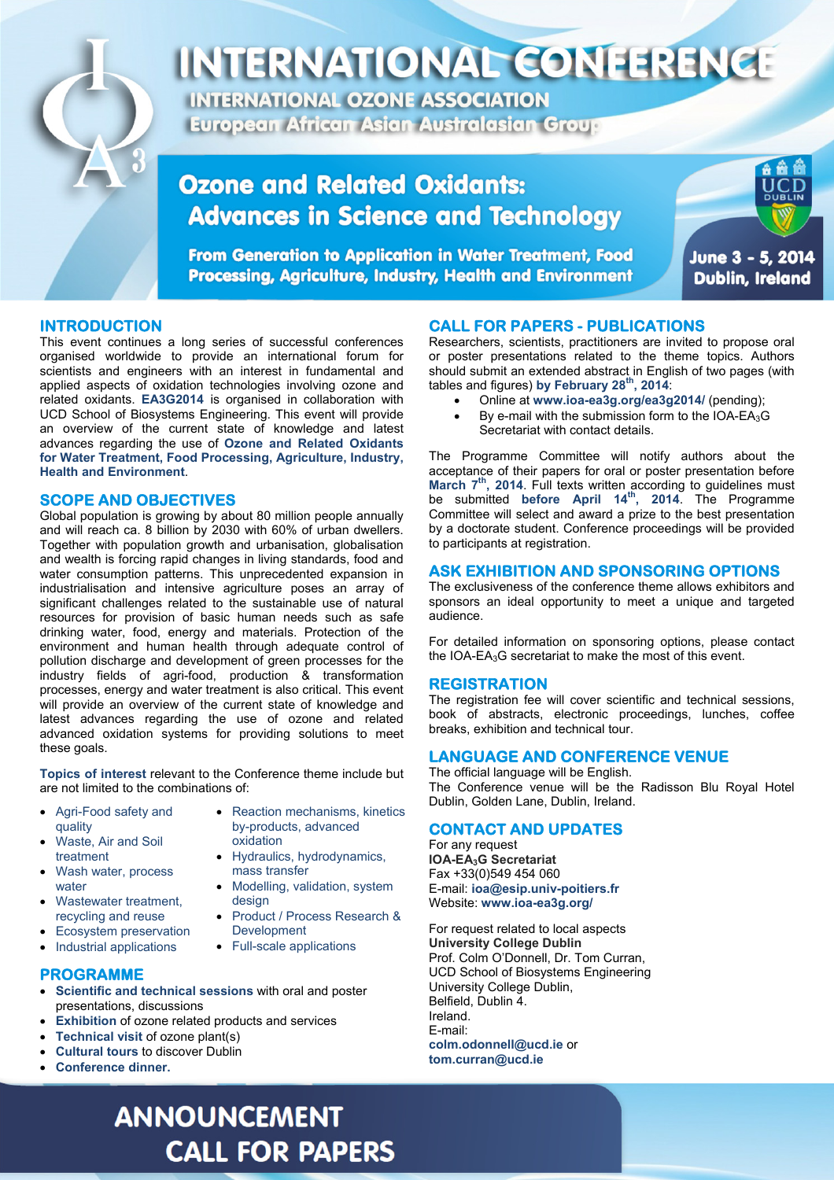

# INTERNATIONAL CONFERENCE

**INTERNATIONAL OZONE ASSOCIATION European African Asian Australasian Group** 

### **Ozone and Related Oxidants: Advances in Science and Technology**

From Generation to Application in Water Treatment, Food **Processing, Agriculture, Industry, Health and Environment** 



June 3 - 5, 2014 **Dublin, Ireland** 

#### **INTRODUCTION**

This event continues a long series of successful conferences organised worldwide to provide an international forum for scientists and engineers with an interest in fundamental and applied aspects of oxidation technologies involving ozone and related oxidants. **EA3G2014** is organised in collaboration with UCD School of Biosystems Engineering. This event will provide an overview of the current state of knowledge and latest advances regarding the use of **Ozone and Related Oxidants for Water Treatment, Food Processing, Agriculture, Industry, Health and Environment**.

#### **SCOPE AND OBJECTIVES**

Global population is growing by about 80 million people annually and will reach ca. 8 billion by 2030 with 60% of urban dwellers. Together with population growth and urbanisation, globalisation and wealth is forcing rapid changes in living standards, food and water consumption patterns. This unprecedented expansion in industrialisation and intensive agriculture poses an array of significant challenges related to the sustainable use of natural resources for provision of basic human needs such as safe drinking water, food, energy and materials. Protection of the environment and human health through adequate control of pollution discharge and development of green processes for the industry fields of agri-food, production & transformation processes, energy and water treatment is also critical. This event will provide an overview of the current state of knowledge and latest advances regarding the use of ozone and related advanced oxidation systems for providing solutions to meet these goals.

**Topics of interest** relevant to the Conference theme include but are not limited to the combinations of:

- Agri-Food safety and quality Waste, Air and Soil
- Reaction mechanisms, kinetics by-products, advanced oxidation • Hydraulics, hydrodynamics,

• Modelling, validation, system

Product / Process Research &

mass transfer

Development • Full-scale applications

design

- treatment Wash water, process
- water Wastewater treatment.
- recycling and reuse
- Ecosystem preservation
- Industrial applications

#### **PROGRAMME**

- **Scientific and technical sessions** with oral and poster presentations, discussions
- **Exhibition** of ozone related products and services
- **Technical visit** of ozone plant(s)
- **Cultural tours** to discover Dublin
- **Conference dinner.**

## **ANNOUNCEMENT CALL FOR PAPERS**

#### **CALL FOR PAPERS - PUBLICATIONS**

Researchers, scientists, practitioners are invited to propose oral or poster presentations related to the theme topics. Authors should submit an extended abstract in English of two pages (with tables and figures) **by February 28th, 2014**:

- Online at **www.ioa-ea3g.org/ea3g2014/** (pending);
- By e-mail with the submission form to the IOA-EA $_3$ G Secretariat with contact details.

The Programme Committee will notify authors about the acceptance of their papers for oral or poster presentation before March 7<sup>th</sup>, 2014. Full texts written according to guidelines must be submitted **before April 14th, 2014**. The Programme Committee will select and award a prize to the best presentation by a doctorate student. Conference proceedings will be provided to participants at registration.

#### **ASK EXHIBITION AND SPONSORING OPTIONS**

The exclusiveness of the conference theme allows exhibitors and sponsors an ideal opportunity to meet a unique and targeted audience.

For detailed information on sponsoring options, please contact the IOA-EA3G secretariat to make the most of this event.

#### **REGISTRATION**

The registration fee will cover scientific and technical sessions, book of abstracts, electronic proceedings, lunches, coffee breaks, exhibition and technical tour.

#### **LANGUAGE AND CONFERENCE VENUE**

The official language will be English. The Conference venue will be the Radisson Blu Royal Hotel Dublin, Golden Lane, Dublin, Ireland.

#### **CONTACT AND UPDATES**

For any request **IOA-EA3G Secretariat**  Fax +33(0)549 454 060 E-mail: **ioa@esip.univ-poitiers.fr**  Website: **www.ioa-ea3g.org/**

For request related to local aspects **University College Dublin**  Prof. Colm O'Donnell, Dr. Tom Curran, UCD School of Biosystems Engineering University College Dublin, Belfield, Dublin 4. Ireland. E-mail: **colm.odonnell@ucd.ie** or **tom.curran@ucd.ie**